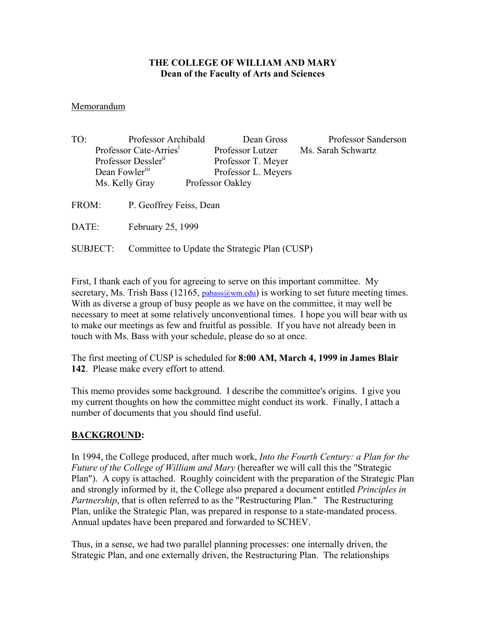#### **THE COLLEGE OF WILLIAM AND MARY Dean of the Faculty of Arts and Sciences**

#### Memorandum

| TO:   | Professor Archibald                |                         | Dean Gross          | Professor Sanderson |
|-------|------------------------------------|-------------------------|---------------------|---------------------|
|       | Professor Cate-Arries <sup>1</sup> |                         | Professor Lutzer    | Ms. Sarah Schwartz  |
|       | Professor Dessler <sup>11</sup>    |                         | Professor T. Meyer  |                     |
|       | Dean Fowler <sup>111</sup>         |                         | Professor L. Meyers |                     |
|       | Ms. Kelly Gray                     |                         | Professor Oakley    |                     |
| FROM: |                                    | P. Geoffrey Feiss, Dean |                     |                     |
| DATE: |                                    | February 25, 1999       |                     |                     |
|       |                                    |                         |                     |                     |

SUBJECT: Committee to Update the Strategic Plan (CUSP)

First, I thank each of you for agreeing to serve on this important committee. My secretary, Ms. Trish Bass (12165, pabass  $@wm.edu$ ) is working to set future meeting times. With as diverse a group of busy people as we have on the committee, it may well be necessary to meet at some relatively unconventional times. I hope you will bear with us to make our meetings as few and fruitful as possible. If you have not already been in touch with Ms. Bass with your schedule, please do so at once.

The first meeting of CUSP is scheduled for **8:00 AM, March 4, 1999 in James Blair 142**. Please make every effort to attend.

This memo provides some background. I describe the committee's origins. I give you my current thoughts on how the committee might conduct its work. Finally, I attach a number of documents that you should find useful.

### **BACKGROUND:**

In 1994, the College produced, after much work, *Into the Fourth Century: a Plan for the Future of the College of William and Mary* (hereafter we will call this the "Strategic Plan"). A copy is attached. Roughly coincident with the preparation of the Strategic Plan and strongly informed by it, the College also prepared a document entitled *Principles in Partnership*, that is often referred to as the "Restructuring Plan." The Restructuring Plan, unlike the Strategic Plan, was prepared in response to a state-mandated process. Annual updates have been prepared and forwarded to SCHEV.

Thus, in a sense, we had two parallel planning processes: one internally driven, the Strategic Plan, and one externally driven, the Restructuring Plan. The relationships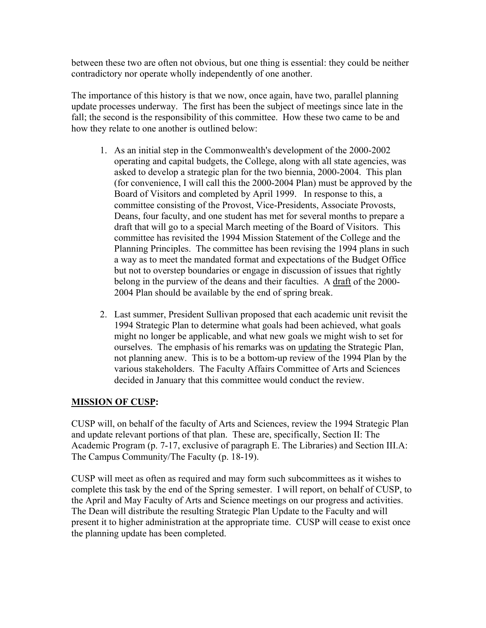between these two are often not obvious, but one thing is essential: they could be neither contradictory nor operate wholly independently of one another.

The importance of this history is that we now, once again, have two, parallel planning update processes underway. The first has been the subject of meetings since late in the fall; the second is the responsibility of this committee. How these two came to be and how they relate to one another is outlined below:

- 1. As an initial step in the Commonwealth's development of the 2000-2002 operating and capital budgets, the College, along with all state agencies, was asked to develop a strategic plan for the two biennia, 2000-2004. This plan (for convenience, I will call this the 2000-2004 Plan) must be approved by the Board of Visitors and completed by April 1999. In response to this, a committee consisting of the Provost, Vice-Presidents, Associate Provosts, Deans, four faculty, and one student has met for several months to prepare a draft that will go to a special March meeting of the Board of Visitors. This committee has revisited the 1994 Mission Statement of the College and the Planning Principles. The committee has been revising the 1994 plans in such a way as to meet the mandated format and expectations of the Budget Office but not to overstep boundaries or engage in discussion of issues that rightly belong in the purview of the deans and their faculties. A draft of the 2000- 2004 Plan should be available by the end of spring break.
- 2. Last summer, President Sullivan proposed that each academic unit revisit the 1994 Strategic Plan to determine what goals had been achieved, what goals might no longer be applicable, and what new goals we might wish to set for ourselves. The emphasis of his remarks was on updating the Strategic Plan, not planning anew. This is to be a bottom-up review of the 1994 Plan by the various stakeholders. The Faculty Affairs Committee of Arts and Sciences decided in January that this committee would conduct the review.

# **MISSION OF CUSP:**

CUSP will, on behalf of the faculty of Arts and Sciences, review the 1994 Strategic Plan and update relevant portions of that plan. These are, specifically, Section II: The Academic Program (p. 7-17, exclusive of paragraph E. The Libraries) and Section III.A: The Campus Community/The Faculty (p. 18-19).

CUSP will meet as often as required and may form such subcommittees as it wishes to complete this task by the end of the Spring semester. I will report, on behalf of CUSP, to the April and May Faculty of Arts and Science meetings on our progress and activities. The Dean will distribute the resulting Strategic Plan Update to the Faculty and will present it to higher administration at the appropriate time. CUSP will cease to exist once the planning update has been completed.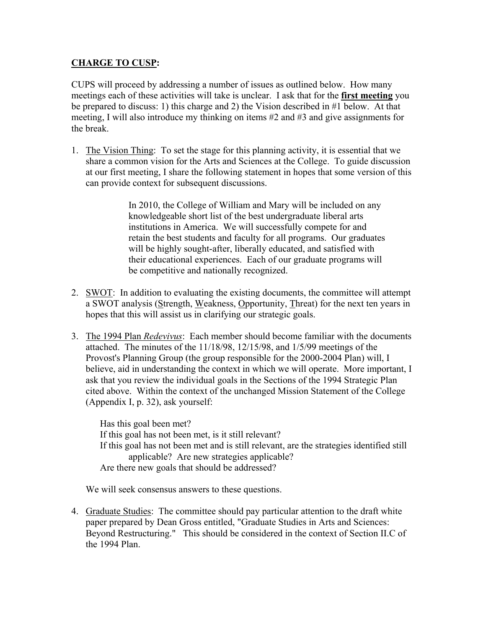## **CHARGE TO CUSP:**

CUPS will proceed by addressing a number of issues as outlined below. How many meetings each of these activities will take is unclear. I ask that for the **first meeting** you be prepared to discuss: 1) this charge and 2) the Vision described in #1 below. At that meeting, I will also introduce my thinking on items #2 and #3 and give assignments for the break.

1. The Vision Thing: To set the stage for this planning activity, it is essential that we share a common vision for the Arts and Sciences at the College. To guide discussion at our first meeting, I share the following statement in hopes that some version of this can provide context for subsequent discussions.

> In 2010, the College of William and Mary will be included on any knowledgeable short list of the best undergraduate liberal arts institutions in America. We will successfully compete for and retain the best students and faculty for all programs. Our graduates will be highly sought-after, liberally educated, and satisfied with their educational experiences. Each of our graduate programs will be competitive and nationally recognized.

- 2. SWOT: In addition to evaluating the existing documents, the committee will attempt a SWOT analysis (Strength, Weakness, Opportunity, Threat) for the next ten years in hopes that this will assist us in clarifying our strategic goals.
- 3. The 1994 Plan *Redevivus*: Each member should become familiar with the documents attached. The minutes of the 11/18/98, 12/15/98, and 1/5/99 meetings of the Provost's Planning Group (the group responsible for the 2000-2004 Plan) will, I believe, aid in understanding the context in which we will operate. More important, I ask that you review the individual goals in the Sections of the 1994 Strategic Plan cited above. Within the context of the unchanged Mission Statement of the College (Appendix I, p. 32), ask yourself:

Has this goal been met? If this goal has not been met, is it still relevant? If this goal has not been met and is still relevant, are the strategies identified still applicable? Are new strategies applicable? Are there new goals that should be addressed?

We will seek consensus answers to these questions.

4. Graduate Studies: The committee should pay particular attention to the draft white paper prepared by Dean Gross entitled, "Graduate Studies in Arts and Sciences: Beyond Restructuring." This should be considered in the context of Section II.C of the 1994 Plan.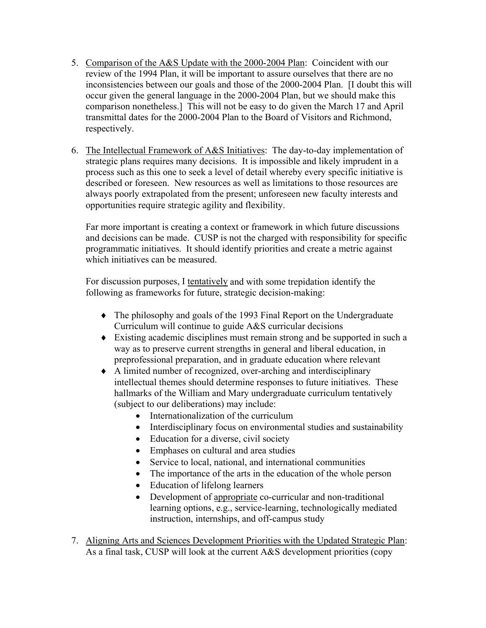- 5. Comparison of the A&S Update with the 2000-2004 Plan: Coincident with our review of the 1994 Plan, it will be important to assure ourselves that there are no inconsistencies between our goals and those of the 2000-2004 Plan. [I doubt this will occur given the general language in the 2000-2004 Plan, but we should make this comparison nonetheless.] This will not be easy to do given the March 17 and April transmittal dates for the 2000-2004 Plan to the Board of Visitors and Richmond, respectively.
- 6. The Intellectual Framework of A&S Initiatives: The day-to-day implementation of strategic plans requires many decisions. It is impossible and likely imprudent in a process such as this one to seek a level of detail whereby every specific initiative is described or foreseen. New resources as well as limitations to those resources are always poorly extrapolated from the present; unforeseen new faculty interests and opportunities require strategic agility and flexibility.

Far more important is creating a context or framework in which future discussions and decisions can be made. CUSP is not the charged with responsibility for specific programmatic initiatives. It should identify priorities and create a metric against which initiatives can be measured.

For discussion purposes, I tentatively and with some trepidation identify the following as frameworks for future, strategic decision-making:

- ♦ The philosophy and goals of the 1993 Final Report on the Undergraduate Curriculum will continue to guide A&S curricular decisions
- ♦ Existing academic disciplines must remain strong and be supported in such a way as to preserve current strengths in general and liberal education, in preprofessional preparation, and in graduate education where relevant
- ♦ A limited number of recognized, over-arching and interdisciplinary intellectual themes should determine responses to future initiatives. These hallmarks of the William and Mary undergraduate curriculum tentatively (subject to our deliberations) may include:
	- Internationalization of the curriculum
	- Interdisciplinary focus on environmental studies and sustainability
	- Education for a diverse, civil society
	- Emphases on cultural and area studies
	- Service to local, national, and international communities
	- The importance of the arts in the education of the whole person
	- Education of lifelong learners
	- Development of appropriate co-curricular and non-traditional learning options, e.g., service-learning, technologically mediated instruction, internships, and off-campus study
- 7. Aligning Arts and Sciences Development Priorities with the Updated Strategic Plan: As a final task, CUSP will look at the current A&S development priorities (copy